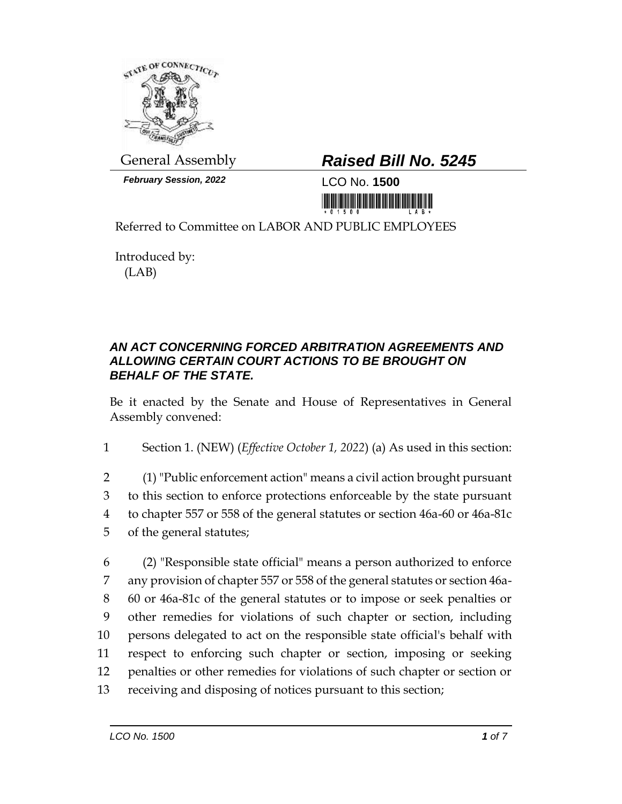

*February Session, 2022* LCO No. **1500**

## General Assembly *Raised Bill No. 5245*

<u>nin kuthi kutha maa maanimin kitab i</u>

Referred to Committee on LABOR AND PUBLIC EMPLOYEES

Introduced by: (LAB)

## *AN ACT CONCERNING FORCED ARBITRATION AGREEMENTS AND ALLOWING CERTAIN COURT ACTIONS TO BE BROUGHT ON BEHALF OF THE STATE.*

Be it enacted by the Senate and House of Representatives in General Assembly convened:

1 Section 1. (NEW) (*Effective October 1, 2022*) (a) As used in this section:

- 2 (1) "Public enforcement action" means a civil action brought pursuant 3 to this section to enforce protections enforceable by the state pursuant 4 to chapter 557 or 558 of the general statutes or section 46a-60 or 46a-81c 5 of the general statutes;
- 6 (2) "Responsible state official" means a person authorized to enforce 7 any provision of chapter 557 or 558 of the general statutes or section 46a-8 60 or 46a-81c of the general statutes or to impose or seek penalties or 9 other remedies for violations of such chapter or section, including 10 persons delegated to act on the responsible state official's behalf with 11 respect to enforcing such chapter or section, imposing or seeking 12 penalties or other remedies for violations of such chapter or section or 13 receiving and disposing of notices pursuant to this section;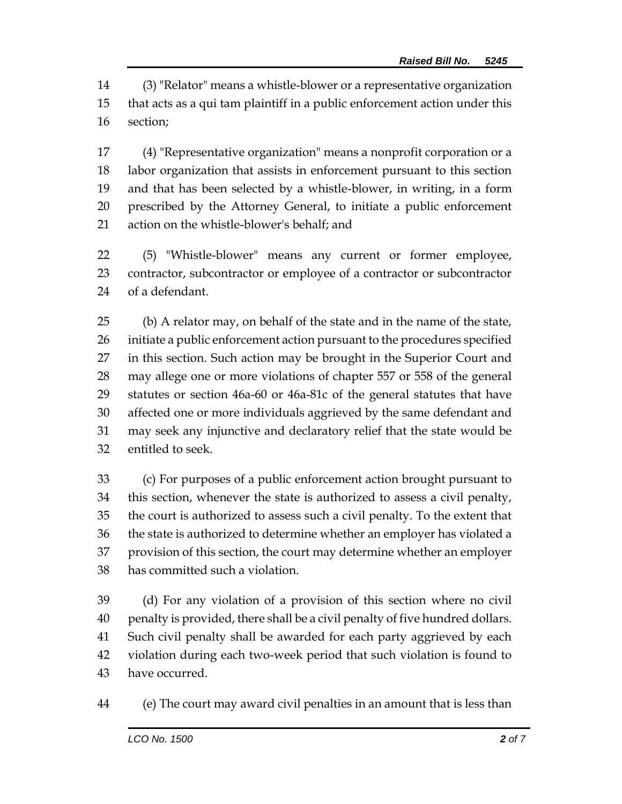(3) "Relator" means a whistle-blower or a representative organization that acts as a qui tam plaintiff in a public enforcement action under this section;

 (4) "Representative organization" means a nonprofit corporation or a labor organization that assists in enforcement pursuant to this section and that has been selected by a whistle-blower, in writing, in a form prescribed by the Attorney General, to initiate a public enforcement action on the whistle-blower's behalf; and

 (5) "Whistle-blower" means any current or former employee, contractor, subcontractor or employee of a contractor or subcontractor of a defendant.

 (b) A relator may, on behalf of the state and in the name of the state, initiate a public enforcement action pursuant to the procedures specified in this section. Such action may be brought in the Superior Court and may allege one or more violations of chapter 557 or 558 of the general statutes or section 46a-60 or 46a-81c of the general statutes that have affected one or more individuals aggrieved by the same defendant and may seek any injunctive and declaratory relief that the state would be entitled to seek.

 (c) For purposes of a public enforcement action brought pursuant to this section, whenever the state is authorized to assess a civil penalty, the court is authorized to assess such a civil penalty. To the extent that the state is authorized to determine whether an employer has violated a provision of this section, the court may determine whether an employer has committed such a violation.

 (d) For any violation of a provision of this section where no civil penalty is provided, there shall be a civil penalty of five hundred dollars. Such civil penalty shall be awarded for each party aggrieved by each violation during each two-week period that such violation is found to have occurred.

(e) The court may award civil penalties in an amount that is less than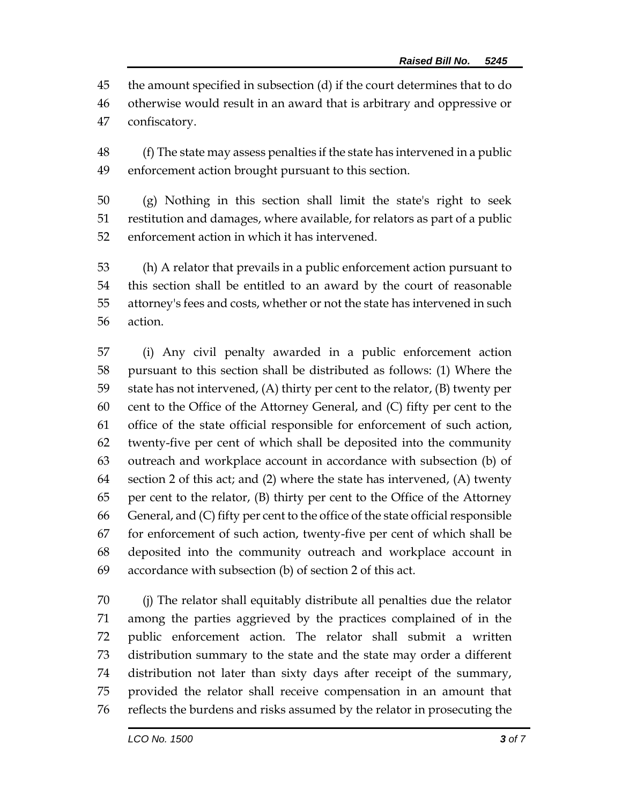the amount specified in subsection (d) if the court determines that to do otherwise would result in an award that is arbitrary and oppressive or confiscatory.

 (f) The state may assess penalties if the state has intervened in a public enforcement action brought pursuant to this section.

 (g) Nothing in this section shall limit the state's right to seek restitution and damages, where available, for relators as part of a public enforcement action in which it has intervened.

 (h) A relator that prevails in a public enforcement action pursuant to this section shall be entitled to an award by the court of reasonable attorney's fees and costs, whether or not the state has intervened in such action.

 (i) Any civil penalty awarded in a public enforcement action pursuant to this section shall be distributed as follows: (1) Where the state has not intervened, (A) thirty per cent to the relator, (B) twenty per cent to the Office of the Attorney General, and (C) fifty per cent to the office of the state official responsible for enforcement of such action, twenty-five per cent of which shall be deposited into the community outreach and workplace account in accordance with subsection (b) of 64 section 2 of this act; and  $(2)$  where the state has intervened,  $(A)$  twenty per cent to the relator, (B) thirty per cent to the Office of the Attorney 66 General, and  $(C)$  fifty per cent to the office of the state official responsible for enforcement of such action, twenty-five per cent of which shall be deposited into the community outreach and workplace account in accordance with subsection (b) of section 2 of this act.

 (j) The relator shall equitably distribute all penalties due the relator among the parties aggrieved by the practices complained of in the public enforcement action. The relator shall submit a written distribution summary to the state and the state may order a different distribution not later than sixty days after receipt of the summary, provided the relator shall receive compensation in an amount that reflects the burdens and risks assumed by the relator in prosecuting the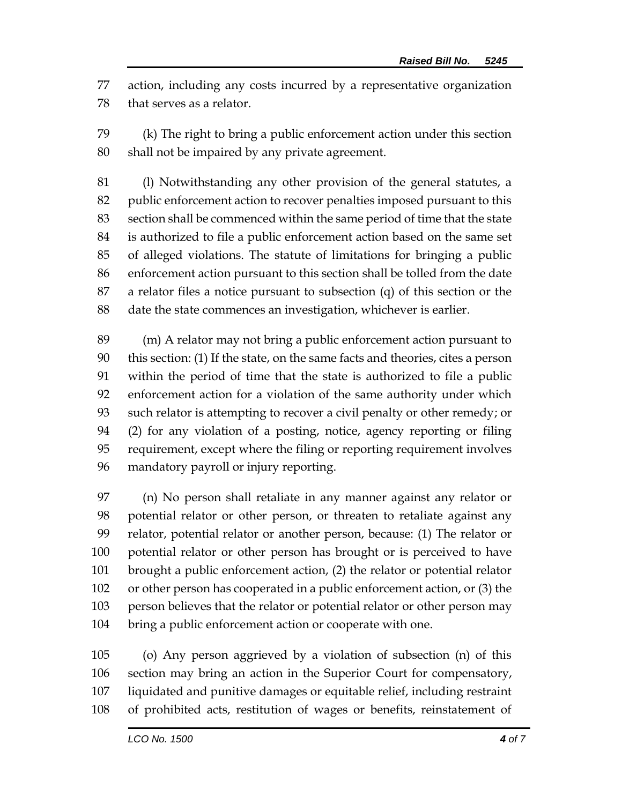action, including any costs incurred by a representative organization that serves as a relator.

 (k) The right to bring a public enforcement action under this section shall not be impaired by any private agreement.

 (l) Notwithstanding any other provision of the general statutes, a public enforcement action to recover penalties imposed pursuant to this section shall be commenced within the same period of time that the state is authorized to file a public enforcement action based on the same set of alleged violations. The statute of limitations for bringing a public enforcement action pursuant to this section shall be tolled from the date a relator files a notice pursuant to subsection (q) of this section or the date the state commences an investigation, whichever is earlier.

 (m) A relator may not bring a public enforcement action pursuant to this section: (1) If the state, on the same facts and theories, cites a person within the period of time that the state is authorized to file a public enforcement action for a violation of the same authority under which such relator is attempting to recover a civil penalty or other remedy; or (2) for any violation of a posting, notice, agency reporting or filing requirement, except where the filing or reporting requirement involves mandatory payroll or injury reporting.

 (n) No person shall retaliate in any manner against any relator or potential relator or other person, or threaten to retaliate against any relator, potential relator or another person, because: (1) The relator or potential relator or other person has brought or is perceived to have brought a public enforcement action, (2) the relator or potential relator or other person has cooperated in a public enforcement action, or (3) the person believes that the relator or potential relator or other person may bring a public enforcement action or cooperate with one.

 (o) Any person aggrieved by a violation of subsection (n) of this section may bring an action in the Superior Court for compensatory, liquidated and punitive damages or equitable relief, including restraint of prohibited acts, restitution of wages or benefits, reinstatement of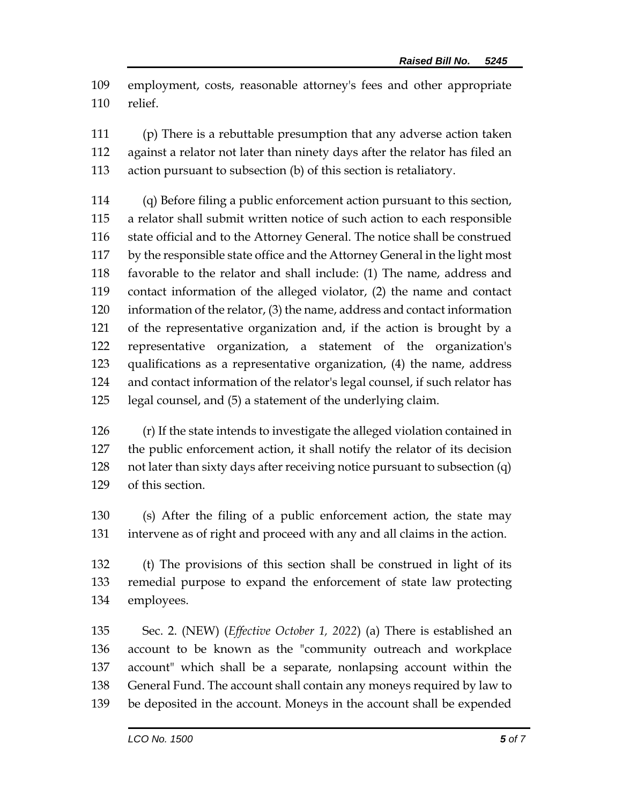employment, costs, reasonable attorney's fees and other appropriate relief.

 (p) There is a rebuttable presumption that any adverse action taken against a relator not later than ninety days after the relator has filed an action pursuant to subsection (b) of this section is retaliatory.

 (q) Before filing a public enforcement action pursuant to this section, a relator shall submit written notice of such action to each responsible state official and to the Attorney General. The notice shall be construed by the responsible state office and the Attorney General in the light most favorable to the relator and shall include: (1) The name, address and contact information of the alleged violator, (2) the name and contact information of the relator, (3) the name, address and contact information of the representative organization and, if the action is brought by a representative organization, a statement of the organization's qualifications as a representative organization, (4) the name, address and contact information of the relator's legal counsel, if such relator has legal counsel, and (5) a statement of the underlying claim.

 (r) If the state intends to investigate the alleged violation contained in the public enforcement action, it shall notify the relator of its decision not later than sixty days after receiving notice pursuant to subsection (q) of this section.

 (s) After the filing of a public enforcement action, the state may intervene as of right and proceed with any and all claims in the action.

 (t) The provisions of this section shall be construed in light of its remedial purpose to expand the enforcement of state law protecting employees.

 Sec. 2. (NEW) (*Effective October 1, 2022*) (a) There is established an account to be known as the "community outreach and workplace account" which shall be a separate, nonlapsing account within the General Fund. The account shall contain any moneys required by law to be deposited in the account. Moneys in the account shall be expended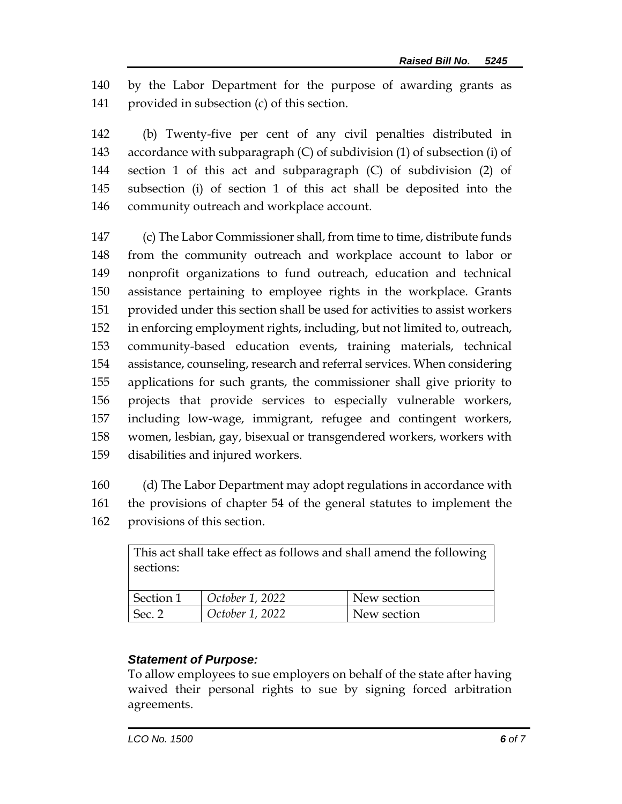by the Labor Department for the purpose of awarding grants as provided in subsection (c) of this section.

 (b) Twenty-five per cent of any civil penalties distributed in accordance with subparagraph (C) of subdivision (1) of subsection (i) of section 1 of this act and subparagraph (C) of subdivision (2) of subsection (i) of section 1 of this act shall be deposited into the community outreach and workplace account.

 (c) The Labor Commissioner shall, from time to time, distribute funds from the community outreach and workplace account to labor or nonprofit organizations to fund outreach, education and technical assistance pertaining to employee rights in the workplace. Grants provided under this section shall be used for activities to assist workers in enforcing employment rights, including, but not limited to, outreach, community-based education events, training materials, technical assistance, counseling, research and referral services. When considering applications for such grants, the commissioner shall give priority to projects that provide services to especially vulnerable workers, including low-wage, immigrant, refugee and contingent workers, women, lesbian, gay, bisexual or transgendered workers, workers with disabilities and injured workers.

 (d) The Labor Department may adopt regulations in accordance with the provisions of chapter 54 of the general statutes to implement the provisions of this section.

| This act shall take effect as follows and shall amend the following |                         |             |
|---------------------------------------------------------------------|-------------------------|-------------|
| sections:                                                           |                         |             |
|                                                                     |                         |             |
| Section 1                                                           | $\vert$ October 1, 2022 | New section |
| Sec. 2                                                              | October 1, 2022         | New section |

## *Statement of Purpose:*

To allow employees to sue employers on behalf of the state after having waived their personal rights to sue by signing forced arbitration agreements.